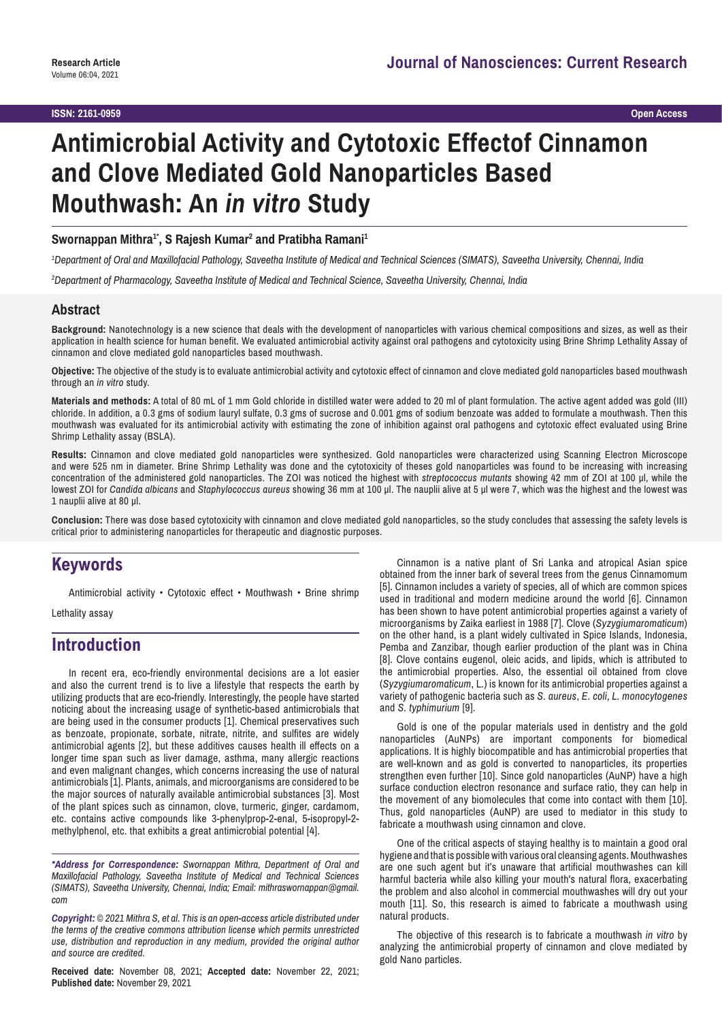# **Antimicrobial Activity and Cytotoxic Effectof Cinnamon and Clove Mediated Gold Nanoparticles Based Mouthwash: An** *in vitro* **Study**

Swornappan Mithra<sup>1•</sup>, S Rajesh Kumar<sup>2</sup> and Pratibha Ramani<sup>1</sup>

*1 Department of Oral and Maxillofacial Pathology, Saveetha Institute of Medical and Technical Sciences (SIMATS), Saveetha University, Chennai, India*

*2 Department of Pharmacology, Saveetha Institute of Medical and Technical Science, Saveetha University, Chennai, India*

#### **Abstract**

**Background:** Nanotechnology is a new science that deals with the development of nanoparticles with various chemical compositions and sizes, as well as their application in health science for human benefit. We evaluated antimicrobial activity against oral pathogens and cytotoxicity using Brine Shrimp Lethality Assay of cinnamon and clove mediated gold nanoparticles based mouthwash.

**Objective:** The objective of the study is to evaluate antimicrobial activity and cytotoxic effect of cinnamon and clove mediated gold nanoparticles based mouthwash through an *in vitro* study.

**Materials and methods:** A total of 80 mL of 1 mm Gold chloride in distilled water were added to 20 ml of plant formulation. The active agent added was gold (III) chloride. In addition, a 0.3 gms of sodium lauryl sulfate, 0.3 gms of sucrose and 0.001 gms of sodium benzoate was added to formulate a mouthwash. Then this mouthwash was evaluated for its antimicrobial activity with estimating the zone of inhibition against oral pathogens and cytotoxic effect evaluated using Brine Shrimp Lethality assay (BSLA).

**Results:** Cinnamon and clove mediated gold nanoparticles were synthesized. Gold nanoparticles were characterized using Scanning Electron Microscope and were 525 nm in diameter. Brine Shrimp Lethality was done and the cytotoxicity of theses gold nanoparticles was found to be increasing with increasing concentration of the administered gold nanoparticles. The ZOI was noticed the highest with *streptococcus mutants* showing 42 mm of ZOI at 100 μl, while the lowest ZOI for *Candida albicans* and *Staphylococcus aureus* showing 36 mm at 100 μl. The nauplii alive at 5 μl were 7, which was the highest and the lowest was 1 nauplii alive at 80 μl.

**Conclusion:** There was dose based cytotoxicity with cinnamon and clove mediated gold nanoparticles, so the study concludes that assessing the safety levels is critical prior to administering nanoparticles for therapeutic and diagnostic purposes.

## **Keywords**

Antimicrobial activity • Cytotoxic effect • Mouthwash • Brine shrimp

Lethality assay

# **Introduction**

In recent era, eco-friendly environmental decisions are a lot easier and also the current trend is to live a lifestyle that respects the earth by utilizing products that are eco-friendly. Interestingly, the people have started noticing about the increasing usage of synthetic-based antimicrobials that are being used in the consumer products [1]. Chemical preservatives such as benzoate, propionate, sorbate, nitrate, nitrite, and sulfites are widely antimicrobial agents [2], but these additives causes health ill effects on a longer time span such as liver damage, asthma, many allergic reactions and even malignant changes, which concerns increasing the use of natural antimicrobials [1]. Plants, animals, and microorganisms are considered to be the major sources of naturally available antimicrobial substances [3]. Most of the plant spices such as cinnamon, clove, turmeric, ginger, cardamom, etc. contains active compounds like 3-phenylprop-2-enal, 5-isopropyl-2 methylphenol, etc. that exhibits a great antimicrobial potential [4].

*\*Address for Correspondence: Swornappan Mithra, Department of Oral and Maxillofacial Pathology, Saveetha Institute of Medical and Technical Sciences (SIMATS), Saveetha University, Chennai, India; Email: mithraswornappan@gmail. com*

*Copyright: © 2021 Mithra S, et al. This is an open-access article distributed under the terms of the creative commons attribution license which permits unrestricted use, distribution and reproduction in any medium, provided the original author and source are credited.*

**Received date:** November 08, 2021; **Accepted date:** November 22, 2021; **Published date:** November 29, 2021

Cinnamon is a native plant of Sri Lanka and atropical Asian spice obtained from the inner bark of several trees from the genus Cinnamomum [5]. Cinnamon includes a variety of species, all of which are common spices used in traditional and modern medicine around the world [6]. Cinnamon has been shown to have potent antimicrobial properties against a variety of microorganisms by Zaika earliest in 1988 [7]. Clove (*Syzygiumaromaticum*) on the other hand, is a plant widely cultivated in Spice Islands, Indonesia, Pemba and Zanzibar, though earlier production of the plant was in China [8]. Clove contains eugenol, oleic acids, and lipids, which is attributed to the antimicrobial properties. Also, the essential oil obtained from clove (*Syzygiumaromaticum*, L.) is known for its antimicrobial properties against a variety of pathogenic bacteria such as *S. aureus*, *E. coli*, *L. monocytogenes* and *S. typhimurium* [9].

Gold is one of the popular materials used in dentistry and the gold nanoparticles (AuNPs) are important components for biomedical applications. It is highly biocompatible and has antimicrobial properties that are well-known and as gold is converted to nanoparticles, its properties strengthen even further [10]. Since gold nanoparticles (AuNP) have a high surface conduction electron resonance and surface ratio, they can help in the movement of any biomolecules that come into contact with them [10]. Thus, gold nanoparticles (AuNP) are used to mediator in this study to fabricate a mouthwash using cinnamon and clove.

One of the critical aspects of staying healthy is to maintain a good oral hygiene and that is possible with various oral cleansing agents. Mouthwashes are one such agent but it's unaware that artificial mouthwashes can kill harmful bacteria while also killing your mouth's natural flora, exacerbating the problem and also alcohol in commercial mouthwashes will dry out your mouth [11]. So, this research is aimed to fabricate a mouthwash using natural products.

The objective of this research is to fabricate a mouthwash *in vitro* by analyzing the antimicrobial property of cinnamon and clove mediated by gold Nano particles.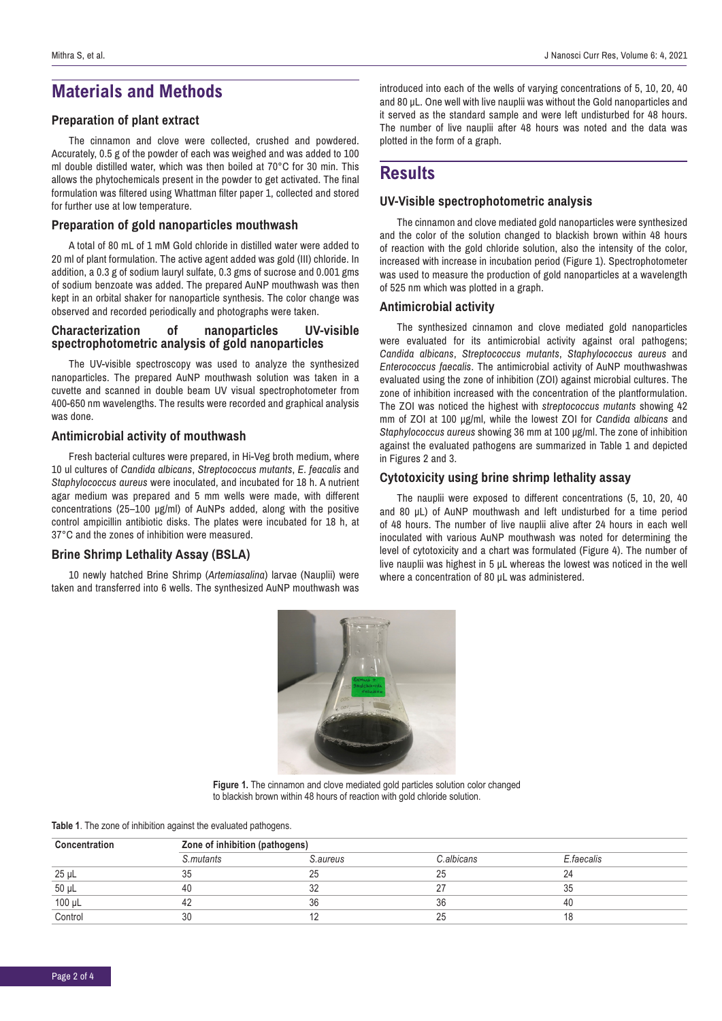# **Materials and Methods**

#### **Preparation of plant extract**

The cinnamon and clove were collected, crushed and powdered. Accurately, 0.5 g of the powder of each was weighed and was added to 100 ml double distilled water, which was then boiled at 70°C for 30 min. This allows the phytochemicals present in the powder to get activated. The final formulation was filtered using Whattman filter paper 1, collected and stored for further use at low temperature.

#### **Preparation of gold nanoparticles mouthwash**

A total of 80 mL of 1 mM Gold chloride in distilled water were added to 20 ml of plant formulation. The active agent added was gold (III) chloride. In addition, a 0.3 g of sodium lauryl sulfate, 0.3 gms of sucrose and 0.001 gms of sodium benzoate was added. The prepared AuNP mouthwash was then kept in an orbital shaker for nanoparticle synthesis. The color change was observed and recorded periodically and photographs were taken.

#### **Characterization of nanoparticles UV-visible spectrophotometric analysis of gold nanoparticles**

The UV-visible spectroscopy was used to analyze the synthesized nanoparticles. The prepared AuNP mouthwash solution was taken in a cuvette and scanned in double beam UV visual spectrophotometer from 400-650 nm wavelengths. The results were recorded and graphical analysis was done.

#### **Antimicrobial activity of mouthwash**

Fresh bacterial cultures were prepared, in Hi-Veg broth medium, where 10 ul cultures of *Candida albicans*, *Streptococcus mutants*, *E. feacalis* and *Staphylococcus aureus* were inoculated, and incubated for 18 h. A nutrient agar medium was prepared and 5 mm wells were made, with different concentrations (25–100 μg/ml) of AuNPs added, along with the positive control ampicillin antibiotic disks. The plates were incubated for 18 h, at 37°C and the zones of inhibition were measured.

#### **Brine Shrimp Lethality Assay (BSLA)**

10 newly hatched Brine Shrimp (*Artemiasalina*) larvae (Nauplii) were taken and transferred into 6 wells. The synthesized AuNP mouthwash was

introduced into each of the wells of varying concentrations of 5, 10, 20, 40 and 80 μL. One well with live nauplii was without the Gold nanoparticles and it served as the standard sample and were left undisturbed for 48 hours. The number of live nauplii after 48 hours was noted and the data was plotted in the form of a graph.

### **Results**

#### **UV-Visible spectrophotometric analysis**

The cinnamon and clove mediated gold nanoparticles were synthesized and the color of the solution changed to blackish brown within 48 hours of reaction with the gold chloride solution, also the intensity of the color, increased with increase in incubation period (Figure 1). Spectrophotometer was used to measure the production of gold nanoparticles at a wavelength of 525 nm which was plotted in a graph.

#### **Antimicrobial activity**

The synthesized cinnamon and clove mediated gold nanoparticles were evaluated for its antimicrobial activity against oral pathogens; *Candida albicans*, *Streptococcus mutants*, *Staphylococcus aureus* and *Enterococcus faecalis*. The antimicrobial activity of AuNP mouthwashwas evaluated using the zone of inhibition (ZOI) against microbial cultures. The zone of inhibition increased with the concentration of the plantformulation. The ZOI was noticed the highest with *streptococcus mutants* showing 42 mm of ZOI at 100 μg/ml, while the lowest ZOI for *Candida albicans* and *Staphylococcus aureus* showing 36 mm at 100 μg/ml. The zone of inhibition against the evaluated pathogens are summarized in Table 1 and depicted in Figures 2 and 3.

#### **Cytotoxicity using brine shrimp lethality assay**

The nauplii were exposed to different concentrations (5, 10, 20, 40 and 80 μL) of AuNP mouthwash and left undisturbed for a time period of 48 hours. The number of live nauplii alive after 24 hours in each well inoculated with various AuNP mouthwash was noted for determining the level of cytotoxicity and a chart was formulated (Figure 4). The number of live nauplii was highest in 5 μL whereas the lowest was noticed in the well where a concentration of 80 μL was administered.



**Figure 1.** The cinnamon and clove mediated gold particles solution color changed to blackish brown within 48 hours of reaction with gold chloride solution.

| Table 1. The zone of inhibition against the evaluated pathogens. |  |  |
|------------------------------------------------------------------|--|--|
|------------------------------------------------------------------|--|--|

| Concentration | Zone of inhibition (pathogens) |          |            |            |  |
|---------------|--------------------------------|----------|------------|------------|--|
|               | S.mutants                      | S.aureus | C.albicans | E.faecalis |  |
| $25 \mu L$    |                                | 25       | 25         |            |  |
| $50 \mu L$    | 40                             | 32       | ົ          |            |  |
| $100 \mu L$   |                                | 36       | 36         | 40         |  |
| Control       | 30                             |          | 25         |            |  |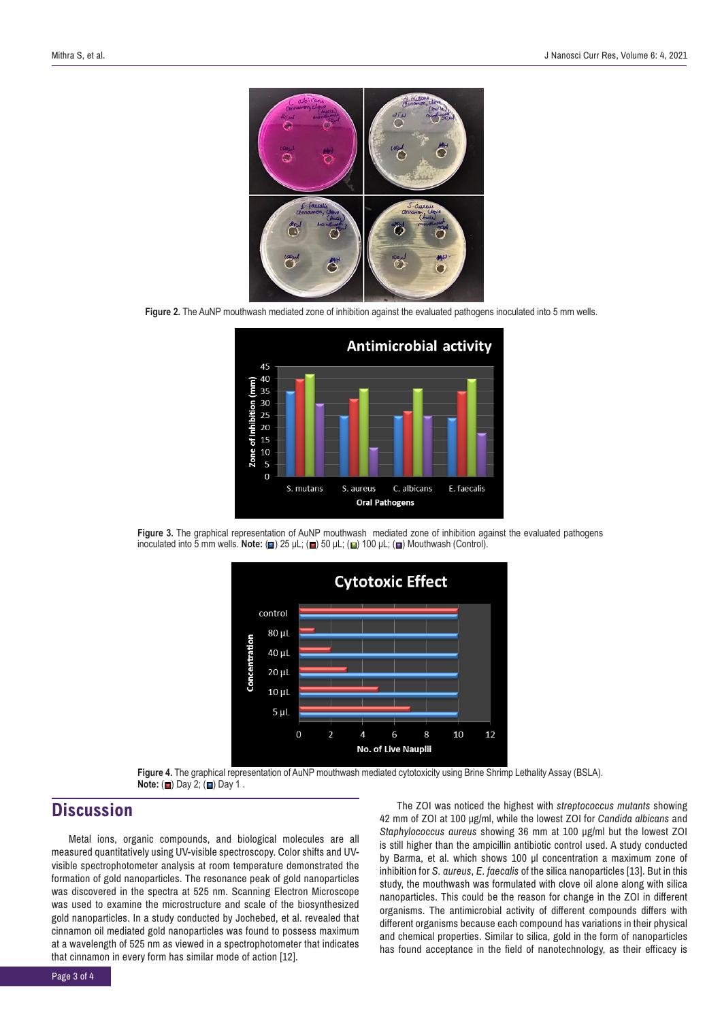

**Figure 2.** The AuNP mouthwash mediated zone of inhibition against the evaluated pathogens inoculated into 5 mm wells.







**Figure 4.** The graphical representation of AuNP mouthwash mediated cytotoxicity using Brine Shrimp Lethality Assay (BSLA). **Note:** (**a**) Day 2; (**a**) Day 1.

# **Discussion**

Metal ions, organic compounds, and biological molecules are all measured quantitatively using UV-visible spectroscopy. Color shifts and UVvisible spectrophotometer analysis at room temperature demonstrated the formation of gold nanoparticles. The resonance peak of gold nanoparticles was discovered in the spectra at 525 nm. Scanning Electron Microscope was used to examine the microstructure and scale of the biosynthesized gold nanoparticles. In a study conducted by Jochebed, et al. revealed that cinnamon oil mediated gold nanoparticles was found to possess maximum at a wavelength of 525 nm as viewed in a spectrophotometer that indicates that cinnamon in every form has similar mode of action [12].

The ZOI was noticed the highest with *streptococcus mutants* showing 42 mm of ZOI at 100 μg/ml, while the lowest ZOI for *Candida albicans* and *Staphylococcus aureus* showing 36 mm at 100 μg/ml but the lowest ZOI is still higher than the ampicillin antibiotic control used. A study conducted by Barma, et al. which shows 100 μl concentration a maximum zone of inhibition for *S. aureus*, *E. faecalis* of the silica nanoparticles [13]. But in this study, the mouthwash was formulated with clove oil alone along with silica nanoparticles. This could be the reason for change in the ZOI in different organisms. The antimicrobial activity of different compounds differs with different organisms because each compound has variations in their physical and chemical properties. Similar to silica, gold in the form of nanoparticles has found acceptance in the field of nanotechnology, as their efficacy is